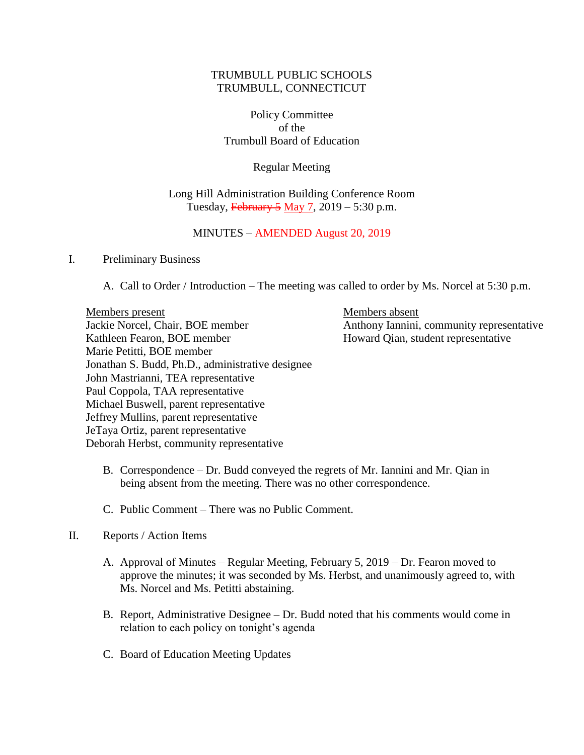## TRUMBULL PUBLIC SCHOOLS TRUMBULL, CONNECTICUT

Policy Committee of the Trumbull Board of Education

Regular Meeting

### Long Hill Administration Building Conference Room Tuesday,  $\overline{\text{February 5}}$  May 7, 2019 – 5:30 p.m.

## MINUTES – AMENDED August 20, 2019

#### I. Preliminary Business

A. Call to Order / Introduction – The meeting was called to order by Ms. Norcel at 5:30 p.m.

Members present Members absent Jackie Norcel, Chair, BOE member Anthony Iannini, community representative Kathleen Fearon, BOE member Howard Qian, student representative Marie Petitti, BOE member Jonathan S. Budd, Ph.D., administrative designee John Mastrianni, TEA representative Paul Coppola, TAA representative Michael Buswell, parent representative Jeffrey Mullins, parent representative JeTaya Ortiz, parent representative Deborah Herbst, community representative

- B. Correspondence Dr. Budd conveyed the regrets of Mr. Iannini and Mr. Qian in being absent from the meeting. There was no other correspondence.
- C. Public Comment There was no Public Comment.

#### II. Reports / Action Items

- A. Approval of Minutes Regular Meeting, February 5, 2019 Dr. Fearon moved to approve the minutes; it was seconded by Ms. Herbst, and unanimously agreed to, with Ms. Norcel and Ms. Petitti abstaining.
- B. Report, Administrative Designee Dr. Budd noted that his comments would come in relation to each policy on tonight's agenda
- C. Board of Education Meeting Updates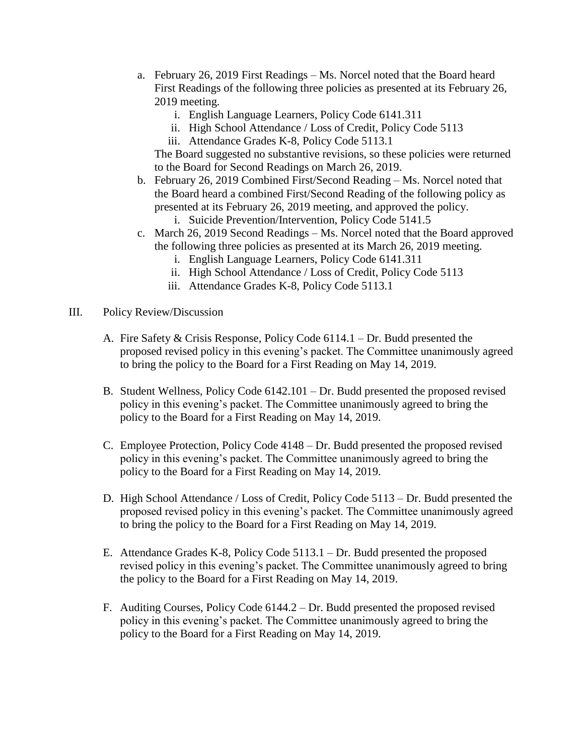- a. February 26, 2019 First Readings Ms. Norcel noted that the Board heard First Readings of the following three policies as presented at its February 26, 2019 meeting.
	- i. English Language Learners, Policy Code 6141.311
	- ii. High School Attendance / Loss of Credit, Policy Code 5113
	- iii. Attendance Grades K-8, Policy Code 5113.1

The Board suggested no substantive revisions, so these policies were returned to the Board for Second Readings on March 26, 2019.

- b. February 26, 2019 Combined First/Second Reading Ms. Norcel noted that the Board heard a combined First/Second Reading of the following policy as presented at its February 26, 2019 meeting, and approved the policy.
	- i. Suicide Prevention/Intervention, Policy Code 5141.5
- c. March 26, 2019 Second Readings Ms. Norcel noted that the Board approved the following three policies as presented at its March 26, 2019 meeting.
	- i. English Language Learners, Policy Code 6141.311
	- ii. High School Attendance / Loss of Credit, Policy Code 5113
	- iii. Attendance Grades K-8, Policy Code 5113.1
- III. Policy Review/Discussion
	- A. Fire Safety & Crisis Response, Policy Code 6114.1 Dr. Budd presented the proposed revised policy in this evening's packet. The Committee unanimously agreed to bring the policy to the Board for a First Reading on May 14, 2019.
	- B. Student Wellness, Policy Code 6142.101 Dr. Budd presented the proposed revised policy in this evening's packet. The Committee unanimously agreed to bring the policy to the Board for a First Reading on May 14, 2019.
	- C. Employee Protection, Policy Code 4148 Dr. Budd presented the proposed revised policy in this evening's packet. The Committee unanimously agreed to bring the policy to the Board for a First Reading on May 14, 2019.
	- D. High School Attendance / Loss of Credit, Policy Code 5113 Dr. Budd presented the proposed revised policy in this evening's packet. The Committee unanimously agreed to bring the policy to the Board for a First Reading on May 14, 2019.
	- E. Attendance Grades K-8, Policy Code 5113.1 Dr. Budd presented the proposed revised policy in this evening's packet. The Committee unanimously agreed to bring the policy to the Board for a First Reading on May 14, 2019.
	- F. Auditing Courses, Policy Code 6144.2 Dr. Budd presented the proposed revised policy in this evening's packet. The Committee unanimously agreed to bring the policy to the Board for a First Reading on May 14, 2019.